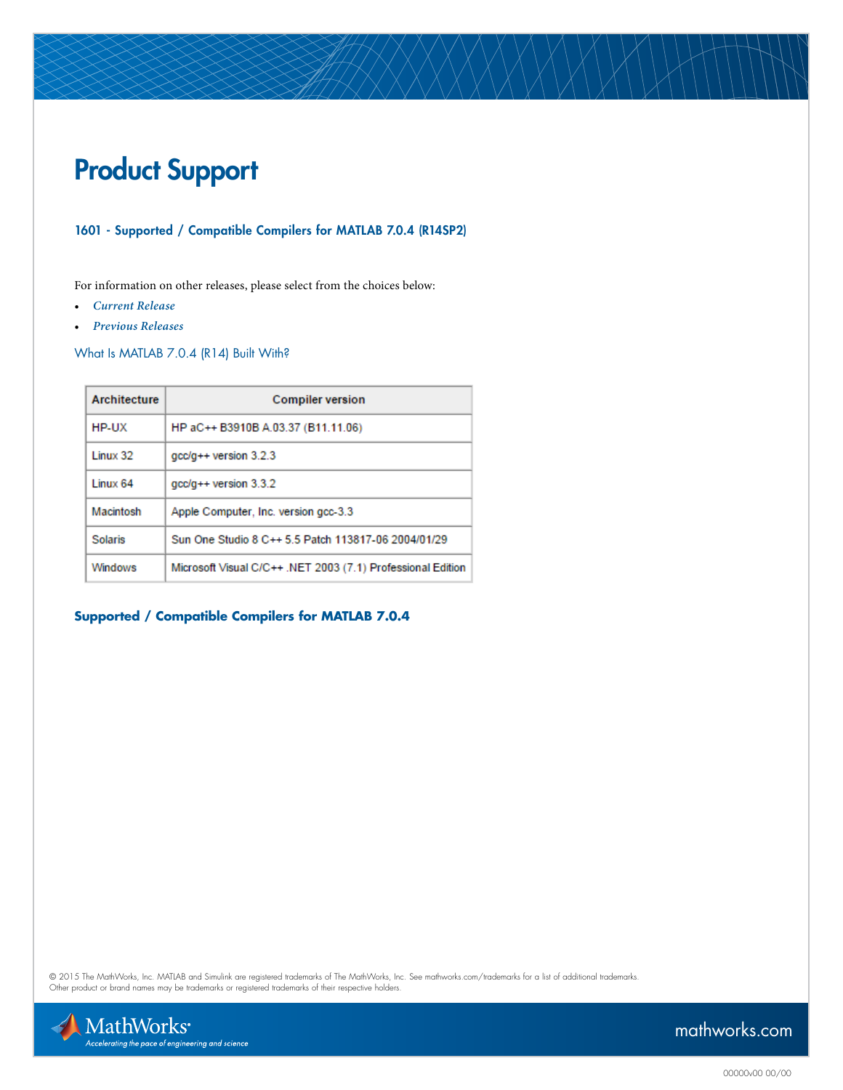# Product Support

## 1601 - Supported / Compatible Compilers for MATLAB 7.0.4 (R14SP2)

For information on other releases, please select from the choices below:

- *[Current Release](http://www.mathworks.com/support/compilers/current_release/)*
- *[Previous Releases](http://www.mathworks.com/support/sysreq/previous_releases.html )*

What Is MATLAB 7.0.4 (R14) Built With?

| Architecture   | <b>Compiler version</b>                                     |
|----------------|-------------------------------------------------------------|
| HP-UX          | HP aC++ B3910B A.03.37 (B11.11.06)                          |
| Linux 32       | $qcc/q++$ version 3.2.3                                     |
| 1 inux 64      | $qcc/q++$ version 3.3.2                                     |
| Macintosh      | Apple Computer, Inc. version gcc-3.3                        |
| <b>Solaris</b> | Sun One Studio 8 C++ 5 5 Patch 113817-06 2004/01/29         |
| <b>Windows</b> | Microsoft Visual C/C++ .NET 2003 (7.1) Professional Edition |

# **Supported / Compatible Compilers for MATLAB 7.0.4**

© 2015 The MathWorks, Inc. MATLAB and Simulink are registered trademarks of The MathWorks, Inc. See [mathworks.com/trademarks](http://www.mathworks.com/trademarks) for a list of additional trademarks.<br>Other product or brand names may be trademarks or registered

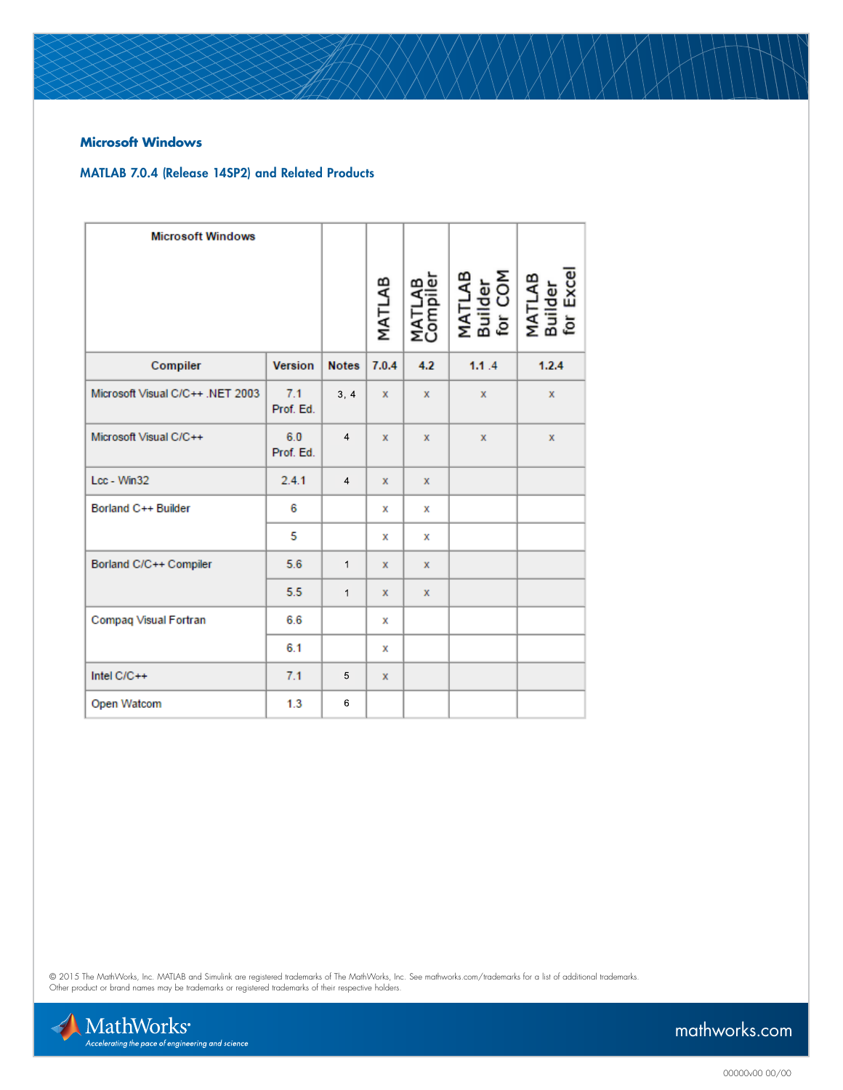### **Microsoft Windows**

## MATLAB 7.0.4 (Release 14SP2) and Related Products

| <b>Microsoft Windows</b>         |                  |                | MATLAB      | MATLAB<br>Compiler | MATLAB<br>Builder<br>for COM<br>MATLAB<br>Builder<br>for Excel |              |
|----------------------------------|------------------|----------------|-------------|--------------------|----------------------------------------------------------------|--------------|
|                                  |                  |                |             |                    |                                                                |              |
| Compiler                         | <b>Version</b>   | <b>Notes</b>   | 7.0.4       | 4.2                | 1.1.4                                                          | 1.2.4        |
| Microsoft Visual C/C++ .NET 2003 | 7.1<br>Prof. Ed. | 3, 4           | x           | $\mathbf{x}$       | $\mathbf{x}$                                                   | $\mathbf{x}$ |
| Microsoft Visual C/C++           | 6.0<br>Prof. Ed. | $\overline{4}$ | $\mathbf x$ | $\mathbf{x}$       | x                                                              | x            |
| Lcc - Win32                      | 2.4.1            | $\overline{4}$ | x           | x                  |                                                                |              |
| Borland C++ Builder              | 6                |                | х           | x                  |                                                                |              |
|                                  | 5                |                | х           | x                  |                                                                |              |
| Borland C/C++ Compiler           | 5.6              | $\mathbf{1}$   | x           | x                  |                                                                |              |
|                                  | 5.5              | $\mathbf{1}$   | x           | $\mathbf{x}$       |                                                                |              |
| Compaq Visual Fortran            | 6.6              |                | x           |                    |                                                                |              |
|                                  | 6.1              |                | x           |                    |                                                                |              |
| Intel $C/C++$                    | 7.1              | 5              | x           |                    |                                                                |              |
| Open Watcom                      | 1.3              | 6              |             |                    |                                                                |              |

© 2015 The MathWorks, Inc. MATLAB and Simulink are registered trademarks of The MathWorks, Inc. See [mathworks.com/trademarks](http://www.mathworks.com/trademarks) for a list of additional trademarks.<br>Other product or brand names may be trademarks or registered

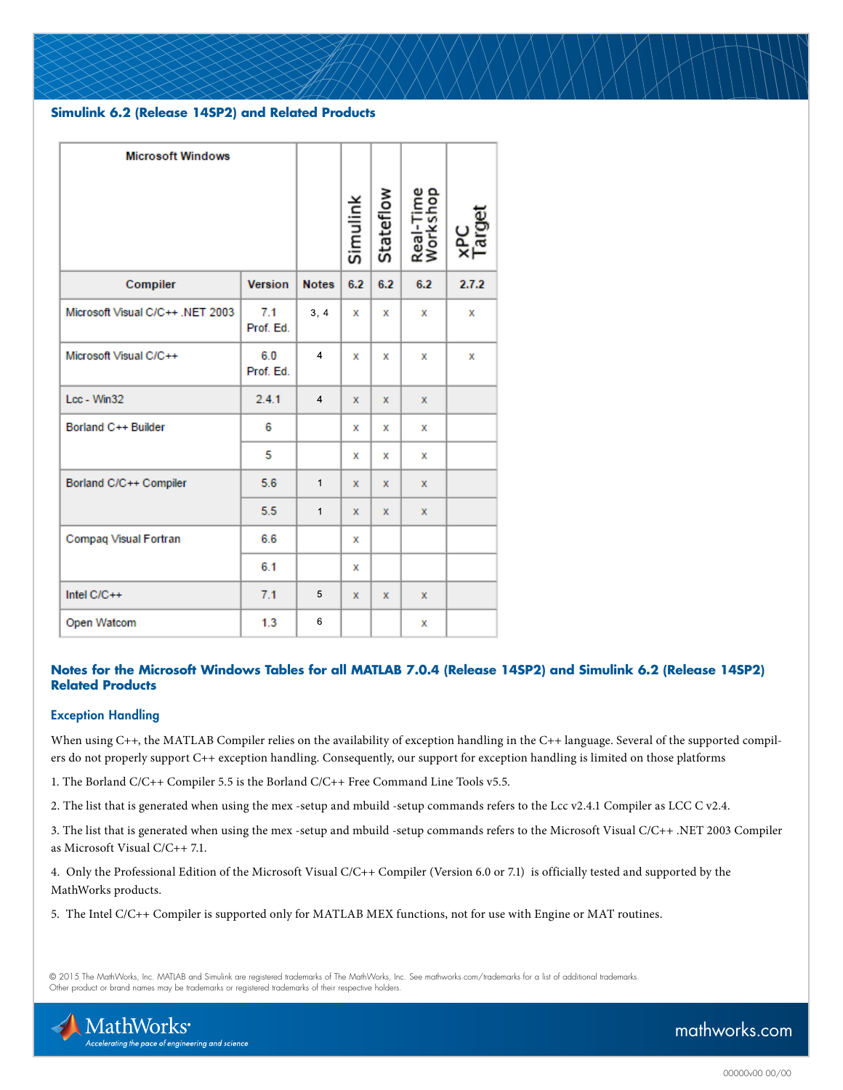### **Simulink 6.2 (Release 14SP2) and Related Products**

| <b>Microsoft Windows</b>         |                  |                |          |           |                       |       |
|----------------------------------|------------------|----------------|----------|-----------|-----------------------|-------|
|                                  |                  |                | Simulink | Stateflow | Real-Time<br>Workshop |       |
| Compiler                         | <b>Version</b>   | <b>Notes</b>   | 6.2      | 6.2       | 6.2                   | 2.7.2 |
| Microsoft Visual C/C++ .NET 2003 | 7.1<br>Prof. Ed. | 3, 4           | x        | x         | х                     | х     |
| Microsoft Visual C/C++           | 6.0<br>Prof. Ed. | $\overline{4}$ | х        | х         | х                     | x     |
| Lcc - Win32                      | 2.4.1            | $\overline{4}$ | x        | x         | x                     |       |
| Borland C++ Builder              | 6                |                | х        | х         | х                     |       |
|                                  | 5                |                | х        | х         | х                     |       |
| Borland C/C++ Compiler           | 5.6              | $\mathbf{1}$   | х        | x         | x                     |       |
|                                  | 5.5              | $\mathbf{1}$   | х        | x         | x                     |       |
| Compaq Visual Fortran            | 6.6              |                | x        |           |                       |       |
|                                  | 6.1              |                | x        |           |                       |       |
| Intel $C/C++$                    | 7.1              | 5              | x        | x         | x                     |       |
| Open Watcom                      | 1.3              | 6              |          |           | х                     |       |

#### **Notes for the Microsoft Windows Tables for all MATLAB 7.0.4 (Release 14SP2) and Simulink 6.2 (Release 14SP2) Related Products**

#### Exception Handling

When using C++, the MATLAB Compiler relies on the availability of exception handling in the C++ language. Several of the supported compilers do not properly support C++ exception handling. Consequently, our support for exception handling is limited on those platforms

1. The Borland C/C++ Compiler 5.5 is the Borland C/C++ Free Command Line Tools v5.5.

2. The list that is generated when using the mex -setup and mbuild -setup commands refers to the Lcc v2.4.1 Compiler as LCC C v2.4.

3. The list that is generated when using the mex -setup and mbuild -setup commands refers to the Microsoft Visual C/C++ .NET 2003 Compiler as Microsoft Visual C/C++ 7.1.

4. Only the Professional Edition of the Microsoft Visual C/C++ Compiler (Version 6.0 or 7.1) is officially tested and supported by the MathWorks products.

5. The Intel C/C++ Compiler is supported only for MATLAB MEX functions, not for use with Engine or MAT routines.

© 2015 The MathWorks, Inc. MATLAB and Simulink are registered trademarks of The MathWorks, Inc. See [mathworks.com/trademarks](http://www.mathworks.com/trademarks) for a list of additional trademarks. Other product or brand names may be trademarks or registered trademarks of their respective holders.

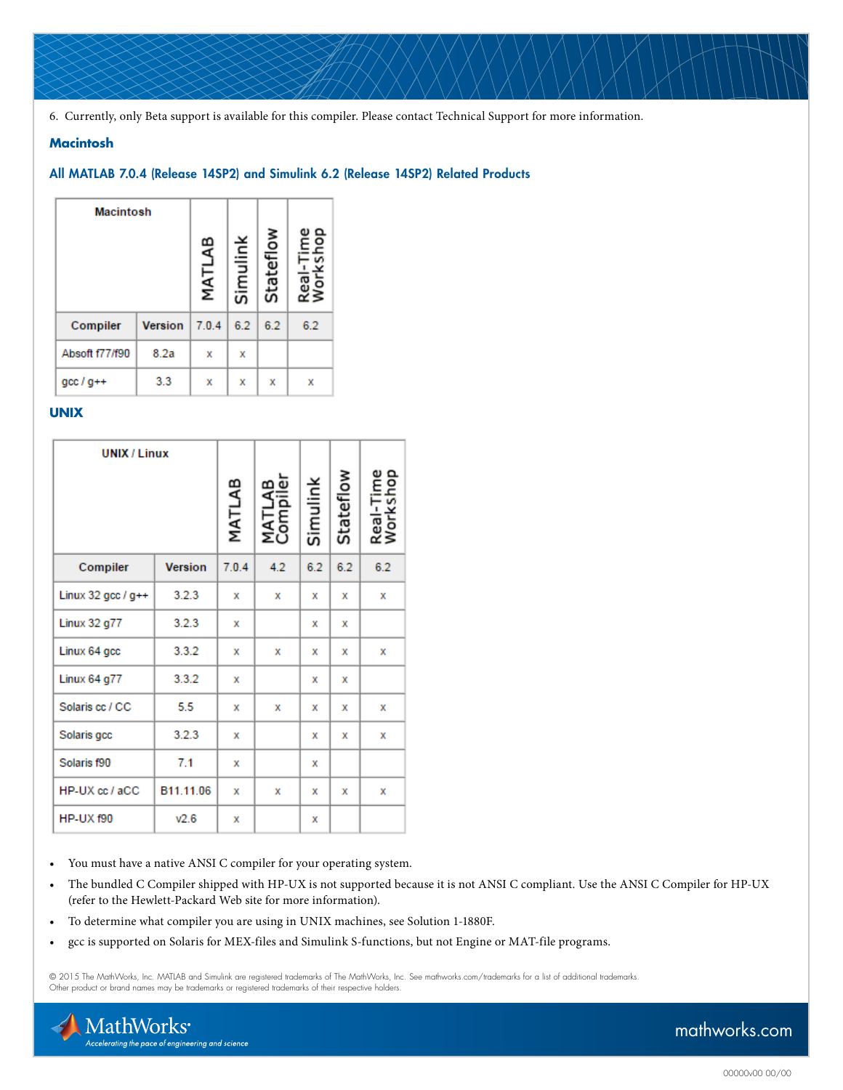6. Currently, only Beta support is available for this compiler. Please contact [Technical Support](http://www.mathworks.com/support/contact_us/index.html) for more information.

#### **Macintosh**

#### All MATLAB 7.0.4 (Release 14SP2) and Simulink 6.2 (Release 14SP2) Related Products

| <b>Macintosh</b> |                | MATLAB | Simulink | Stateflow | ai<br>∛orl |
|------------------|----------------|--------|----------|-----------|------------|
| Compiler         | <b>Version</b> | 7.0.4  | 6.2      | 6.2       | 6.2        |
| Absoft f77/f90   | 8.2a           | х      | х        |           |            |
| $qcc/d++$        | 3.3            | х      | х        | х         | х          |

#### **UNIX**

| <b>UNIX / Linux</b>  |                |        |                   |          |           |                     |
|----------------------|----------------|--------|-------------------|----------|-----------|---------------------|
|                      |                | MATLAB | ω<br>മ<br>ε<br>ຊິ | Simulink | Stateflow | Real-Tim<br>Worksho |
| Compiler             | <b>Version</b> | 7.0.4  | 4.2               | 6.2      | 6.2       | 6.2                 |
| Linux 32 gcc / $g++$ | 3.2.3          | x      | x                 | х        | x         | x                   |
| Linux 32 g77         | 3.2.3          | х      |                   | х        | х         |                     |
| Linux 64 gcc         | 3.3.2          | x      | x                 | х        | х         | x                   |
| Linux 64 g77         | 3.3.2          | х      |                   | х        | x         |                     |
| Solaris cc / CC      | 5.5            | х      | x                 | х        | х         | х                   |
| Solaris gcc          | 3.2.3          | x      |                   | х        | х         | х                   |
| Solaris f90          | 7.1            | x      |                   | х        |           |                     |
| HP-UX cc / aCC       | B11.11.06      | x      | х                 | x        | x         | х                   |
| <b>HP-UX f90</b>     | V2.6           | x      |                   | x        |           |                     |

• You must have a native ANSI C compiler for your operating system.

- The bundled C Compiler shipped with HP-UX is not supported because it is not ANSI C compliant. Use the ANSI C Compiler for HP-UX (refer to the Hewlett-Packard Web site for more information).
- To determine what compiler you are using in UNIX machines, see [Solution 1-1880F.](http://www.mathworks.com/support/solutions/data/1-1880F.html?solution=1-1880F)
- gcc is supported on Solaris for MEX-files and Simulink S-functions, but not Engine or MAT-file programs.

© 2015 The MathWorks, Inc. MATLAB and Simulink are registered trademarks of The MathWorks, Inc. See [mathworks.com/trademarks](http://www.mathworks.com/trademarks) for a list of additional trademarks. Other product or brand names may be trademarks or registered trademarks of their respective holders.